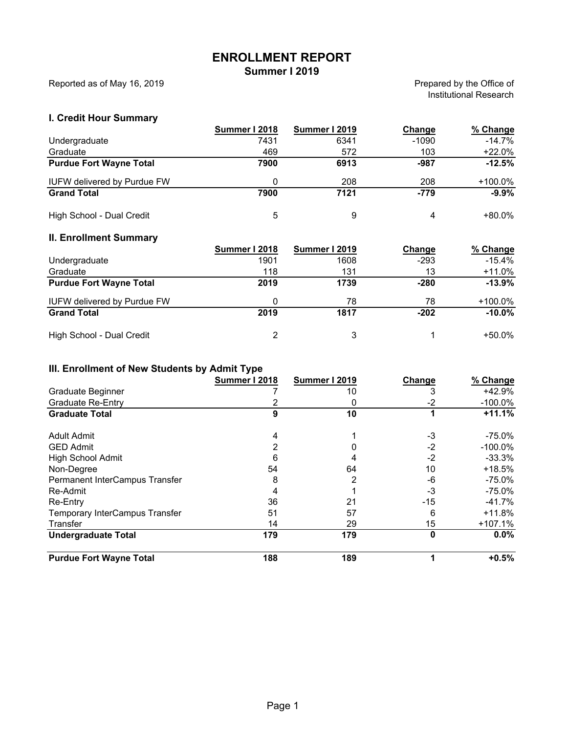# **ENROLLMENT REPORT**

**Summer I 2019**

Reported as of May 16, 2019

Prepared by the Office of Institutional Research

#### **I. Credit Hour Summary**

|                                    | Summer I 2018 | <b>Summer I 2019</b> | Change  | % Change   |
|------------------------------------|---------------|----------------------|---------|------------|
| Undergraduate                      | 7431          | 6341                 | $-1090$ | $-14.7%$   |
| Graduate                           | 469           | 572                  | 103     | $+22.0\%$  |
| <b>Purdue Fort Wayne Total</b>     | 7900          | 6913                 | -987    | $-12.5%$   |
| <b>IUFW delivered by Purdue FW</b> | 0             | 208                  | 208     | $+100.0\%$ |
| <b>Grand Total</b>                 | 7900          | 7121                 | $-779$  | $-9.9%$    |
| High School - Dual Credit          | 5             | 9                    | 4       | $+80.0\%$  |

# **II. Enrollment Summary**

|                                    | Summer I 2018 | Summer I 2019 | Change | % Change  |
|------------------------------------|---------------|---------------|--------|-----------|
| Undergraduate                      | 1901          | 1608          | $-293$ | $-15.4\%$ |
| Graduate                           | 118           | 131           | 13     | +11.0%    |
| <b>Purdue Fort Wayne Total</b>     | 2019          | 1739          | $-280$ | $-13.9%$  |
| <b>IUFW delivered by Purdue FW</b> |               | 78            | 78     | +100.0%   |
| <b>Grand Total</b>                 | 2019          | 1817          | $-202$ | $-10.0\%$ |
| High School - Dual Credit          | 2             | 3             |        | +50.0%    |

#### **III. Enrollment of New Students by Admit Type**

|                                | <b>Summer I 2018</b> | Summer I 2019 | Change | % Change   |
|--------------------------------|----------------------|---------------|--------|------------|
| Graduate Beginner              |                      | 10            |        | $+42.9%$   |
| <b>Graduate Re-Entry</b>       |                      | 0             | $-2$   | $-100.0\%$ |
| <b>Graduate Total</b>          | 9                    | 10            |        | $+11.1%$   |
| <b>Adult Admit</b>             | 4                    |               | $-3$   | $-75.0\%$  |
| <b>GED Admit</b>               | 2                    |               | $-2$   | $-100.0\%$ |
| <b>High School Admit</b>       | 6                    |               | $-2$   | $-33.3\%$  |
| Non-Degree                     | 54                   | 64            | 10     | $+18.5%$   |
| Permanent InterCampus Transfer | 8                    | 2             | -6     | $-75.0\%$  |
| Re-Admit                       | 4                    |               | -3     | $-75.0\%$  |
| Re-Entry                       | 36                   | 21            | $-15$  | $-41.7\%$  |
| Temporary InterCampus Transfer | 51                   | 57            | 6      | $+11.8%$   |
| Transfer                       | 14                   | 29            | 15     | $+107.1%$  |
| <b>Undergraduate Total</b>     | 179                  | 179           | 0      | $0.0\%$    |
| <b>Purdue Fort Wayne Total</b> | 188                  | 189           |        | $+0.5%$    |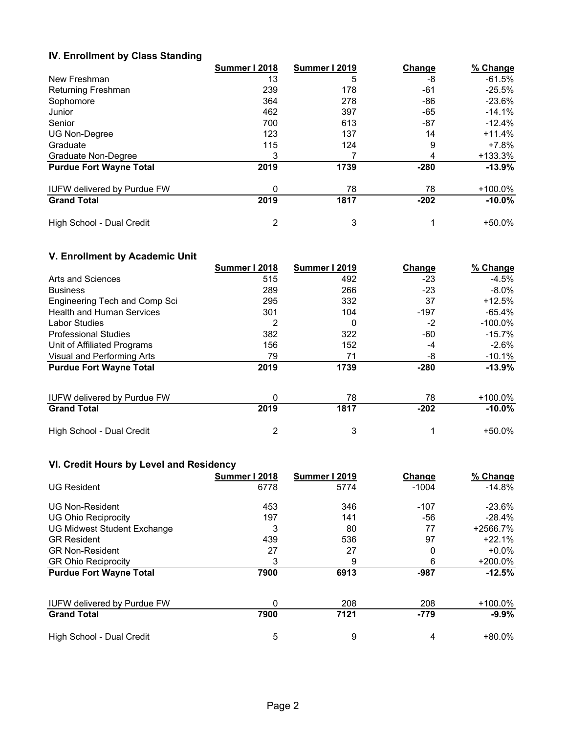#### **IV. Enrollment by Class Standing**

|                                    | Summer I 2018 | Summer I 2019 | Change | % Change  |
|------------------------------------|---------------|---------------|--------|-----------|
| New Freshman                       | 13            | 5             | -8     | -61.5%    |
| Returning Freshman                 | 239           | 178           | -61    | $-25.5\%$ |
| Sophomore                          | 364           | 278           | -86    | $-23.6\%$ |
| Junior                             | 462           | 397           | -65    | $-14.1%$  |
| Senior                             | 700           | 613           | -87    | -12.4%    |
| UG Non-Degree                      | 123           | 137           | 14     | $+11.4%$  |
| Graduate                           | 115           | 124           | 9      | +7.8%     |
| Graduate Non-Degree                | 3             |               | 4      | +133.3%   |
| <b>Purdue Fort Wayne Total</b>     | 2019          | 1739          | $-280$ | $-13.9%$  |
| <b>IUFW delivered by Purdue FW</b> | 0             | 78            | 78     | +100.0%   |
| <b>Grand Total</b>                 | 2019          | 1817          | $-202$ | $-10.0\%$ |
| High School - Dual Credit          | 2             | 3             |        | $+50.0\%$ |

## **V. Enrollment by Academic Unit**

|                                    | Summer I 2018 | <b>Summer I 2019</b> | Change | % Change   |
|------------------------------------|---------------|----------------------|--------|------------|
| Arts and Sciences                  | 515           | 492                  | -23    | $-4.5\%$   |
| <b>Business</b>                    | 289           | 266                  | $-23$  | $-8.0\%$   |
| Engineering Tech and Comp Sci      | 295           | 332                  | 37     | $+12.5%$   |
| <b>Health and Human Services</b>   | 301           | 104                  | $-197$ | $-65.4\%$  |
| <b>Labor Studies</b>               | 2             | 0                    | $-2$   | $-100.0\%$ |
| <b>Professional Studies</b>        | 382           | 322                  | -60    | $-15.7%$   |
| Unit of Affiliated Programs        | 156           | 152                  | -4     | $-2.6%$    |
| Visual and Performing Arts         | 79            | 71                   | -8     | $-10.1\%$  |
| <b>Purdue Fort Wayne Total</b>     | 2019          | 1739                 | $-280$ | $-13.9%$   |
| <b>IUFW delivered by Purdue FW</b> | 0             | 78                   | 78     | +100.0%    |
| <b>Grand Total</b>                 | 2019          | 1817                 | $-202$ | $-10.0\%$  |
| High School - Dual Credit          | 2             | 3                    |        | $+50.0\%$  |

## **VI. Credit Hours by Level and Residency**

|                                    | Summer I 2018 | Summer I 2019 | Change  | % Change   |
|------------------------------------|---------------|---------------|---------|------------|
| <b>UG Resident</b>                 | 6778          | 5774          | $-1004$ | $-14.8\%$  |
| <b>UG Non-Resident</b>             | 453           | 346           | $-107$  | $-23.6\%$  |
| <b>UG Ohio Reciprocity</b>         | 197           | 141           | -56     | $-28.4%$   |
| <b>UG Midwest Student Exchange</b> | 3             | 80            | 77      | +2566.7%   |
| <b>GR Resident</b>                 | 439           | 536           | 97      | $+22.1%$   |
| <b>GR Non-Resident</b>             | 27            | 27            | 0       | $+0.0\%$   |
| <b>GR Ohio Reciprocity</b>         | 3             | 9             | 6       | $+200.0\%$ |
| <b>Purdue Fort Wayne Total</b>     | 7900          | 6913          | $-987$  | $-12.5%$   |
| <b>IUFW delivered by Purdue FW</b> | 0             | 208           | 208     | $+100.0\%$ |
| <b>Grand Total</b>                 | 7900          | 7121          | $-779$  | $-9.9%$    |
| High School - Dual Credit          | 5             | 9             | 4       | $+80.0\%$  |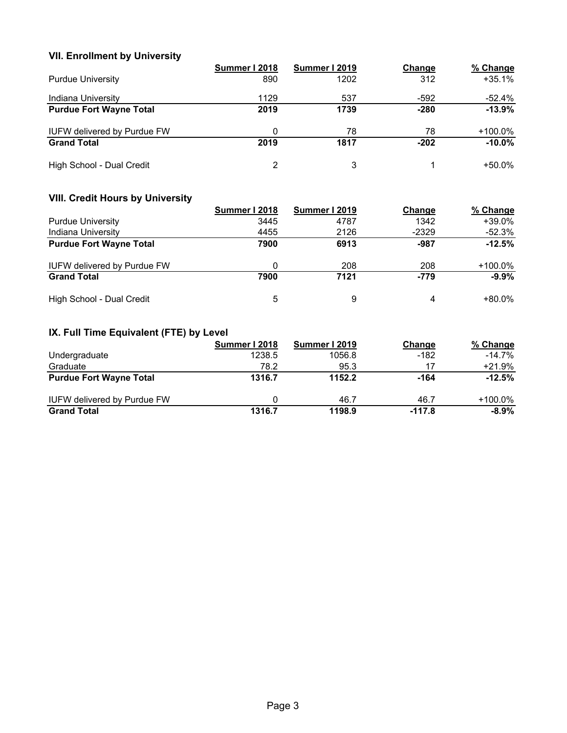#### **VII. Enrollment by University**

|                                    | Summer I 2018  | Summer I 2019 | Change | % Change   |
|------------------------------------|----------------|---------------|--------|------------|
| <b>Purdue University</b>           | 890            | 1202          | 312    | $+35.1%$   |
| Indiana University                 | 1129           | 537           | $-592$ | -52.4%     |
| <b>Purdue Fort Wayne Total</b>     | 2019           | 1739          | $-280$ | $-13.9%$   |
| <b>IUFW delivered by Purdue FW</b> | 0              | 78            | 78     | $+100.0\%$ |
| <b>Grand Total</b>                 | 2019           | 1817          | $-202$ | $-10.0\%$  |
| High School - Dual Credit          | $\overline{2}$ | 3             |        | +50.0%     |

## **VIII. Credit Hours by University**

|                                    | Summer I 2018 | Summer I 2019 | Change  | % Change  |
|------------------------------------|---------------|---------------|---------|-----------|
| <b>Purdue University</b>           | 3445          | 4787          | 1342    | $+39.0\%$ |
| Indiana University                 | 4455          | 2126          | $-2329$ | -52.3%    |
| <b>Purdue Fort Wayne Total</b>     | 7900          | 6913          | $-987$  | $-12.5%$  |
| <b>IUFW delivered by Purdue FW</b> | 0             | 208           | 208     | +100.0%   |
| <b>Grand Total</b>                 | 7900          | 7121          | $-779$  | $-9.9%$   |
| High School - Dual Credit          | 5             | 9             | 4       | $+80.0\%$ |

## **IX. Full Time Equivalent (FTE) by Level**

|                                    | Summer I 2018 | <b>Summer I 2019</b> | Change   | % Change   |
|------------------------------------|---------------|----------------------|----------|------------|
| Undergraduate                      | 1238.5        | 1056.8               | $-182$   | $-14.7%$   |
| Graduate                           | 78.2          | 95.3                 | 17       | $+21.9%$   |
| <b>Purdue Fort Wayne Total</b>     | 1316.7        | 1152.2               | $-164$   | $-12.5%$   |
| <b>IUFW delivered by Purdue FW</b> | 0             | 46.7                 | 46.7     | $+100.0\%$ |
| <b>Grand Total</b>                 | 1316.7        | 1198.9               | $-117.8$ | $-8.9\%$   |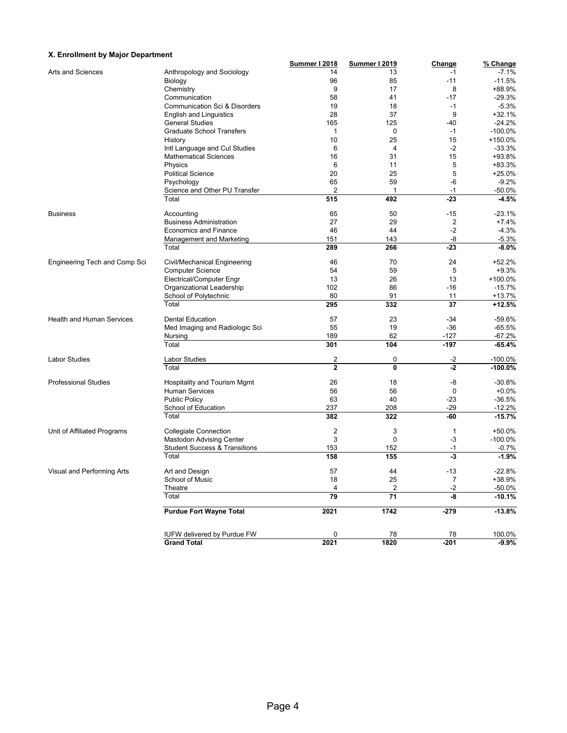#### **X. Enrollment by Major Department**

| A. Embinient by major Department |                                          | <b>Summer I 2018</b> | <b>Summer I 2019</b> | <b>Change</b>  | % Change   |
|----------------------------------|------------------------------------------|----------------------|----------------------|----------------|------------|
| Arts and Sciences                | Anthropology and Sociology               | 14                   | 13                   | $-1$           | $-7.1%$    |
|                                  | Biology                                  | 96                   | 85                   | $-11$          | $-11.5%$   |
|                                  | Chemistry                                | 9                    | 17                   | 8              | +88.9%     |
|                                  | Communication                            | 58                   | 41                   | $-17$          | $-29.3%$   |
|                                  | Communication Sci & Disorders            | 19                   | 18                   | $-1$           | $-5.3%$    |
|                                  | <b>English and Linguistics</b>           | 28                   | 37                   | 9              | $+32.1%$   |
|                                  | <b>General Studies</b>                   | 165                  | 125                  | -40            | $-24.2%$   |
|                                  | <b>Graduate School Transfers</b>         | $\mathbf{1}$         | 0                    | $-1$           | $-100.0%$  |
|                                  | History                                  | 10                   | 25                   | 15             | +150.0%    |
|                                  | Intl Language and Cul Studies            | 6                    | $\overline{4}$       | $-2$           | $-33.3%$   |
|                                  | <b>Mathematical Sciences</b>             | 16                   | 31                   | 15             | +93.8%     |
|                                  | Physics                                  | 6                    | 11                   | 5              | +83.3%     |
|                                  | <b>Political Science</b>                 | 20                   | 25                   | 5              | $+25.0%$   |
|                                  |                                          | 65                   | 59                   | -6             | $-9.2%$    |
|                                  | Psychology                               | $\overline{2}$       | $\mathbf{1}$         | $-1$           |            |
|                                  | Science and Other PU Transfer            |                      |                      |                | $-50.0%$   |
|                                  | Total                                    | 515                  | 492                  | $-23$          | $-4.5%$    |
| <b>Business</b>                  | Accounting                               | 65                   | 50                   | $-15$          | $-23.1%$   |
|                                  | <b>Business Administration</b>           | 27                   | 29                   | 2              | $+7.4%$    |
|                                  | <b>Economics and Finance</b>             | 46                   | 44                   | $-2$           | $-4.3%$    |
|                                  | Management and Marketing                 | 151                  | 143                  | -8             | $-5.3%$    |
|                                  | Total                                    | 289                  | 266                  | $-23$          | $-8.0%$    |
| Engineering Tech and Comp Sci    | Civil/Mechanical Engineering             | 46                   | 70                   | 24             | $+52.2%$   |
|                                  | <b>Computer Science</b>                  | 54                   | 59                   | 5              | $+9.3%$    |
|                                  | Electrical/Computer Engr                 | 13                   | 26                   | 13             | +100.0%    |
|                                  | Organizational Leadership                | 102                  | 86                   | $-16$          | $-15.7%$   |
|                                  | School of Polytechnic                    | 80                   | 91                   | 11             | $+13.7%$   |
|                                  | Total                                    | 295                  | 332                  | 37             | +12.5%     |
|                                  |                                          |                      |                      |                |            |
| <b>Health and Human Services</b> | <b>Dental Education</b>                  | 57                   | 23                   | $-34$          | $-59.6%$   |
|                                  | Med Imaging and Radiologic Sci           | 55                   | 19                   | $-36$          | $-65.5%$   |
|                                  | Nursing                                  | 189                  | 62                   | $-127$         | $-67.2%$   |
|                                  | Total                                    | 301                  | 104                  | $-197$         | $-65.4%$   |
| <b>Labor Studies</b>             | <b>Labor Studies</b>                     | $\overline{2}$       | 0                    | $-2$           | $-100.0\%$ |
|                                  | Total                                    | $\overline{2}$       | $\mathbf{0}$         | $-2$           | $-100.0%$  |
| <b>Professional Studies</b>      | Hospitality and Tourism Mgmt             | 26                   | 18                   | -8             | $-30.8%$   |
|                                  | <b>Human Services</b>                    | 56                   | 56                   | 0              | $+0.0%$    |
|                                  | <b>Public Policy</b>                     | 63                   | 40                   | $-23$          | $-36.5%$   |
|                                  | School of Education                      | 237                  | 208                  | $-29$          | $-12.2%$   |
|                                  | Total                                    | 382                  | 322                  | -60            | $-15.7%$   |
|                                  |                                          |                      |                      |                |            |
| Unit of Affiliated Programs      | <b>Collegiate Connection</b>             | $\overline{2}$       | 3                    | 1              | +50.0%     |
|                                  | Mastodon Advising Center                 | 3                    | 0                    | -3             | $-100.0%$  |
|                                  | <b>Student Success &amp; Transitions</b> | 153                  | 152                  | $-1$           | $-0.7%$    |
|                                  | Total                                    | 158                  | 155                  | $-3$           | $-1.9%$    |
| Visual and Performing Arts       | Art and Design                           | 57                   | 44                   | $-13$          | 22.8%      |
|                                  | School of Music                          | 18                   | 25                   | $\overline{7}$ | +38.9%     |
|                                  | Theatre                                  | 4                    | $\overline{c}$       | $-2$           | $-50.0%$   |
|                                  | Total                                    | 79                   | 71                   | -8             | $-10.1%$   |
|                                  |                                          |                      |                      |                |            |
|                                  | <b>Purdue Fort Wayne Total</b>           | 2021                 | 1742                 | $-279$         | $-13.8%$   |
|                                  |                                          |                      |                      |                |            |
|                                  | IUFW delivered by Purdue FW              | 0                    | 78                   | 78             | 100.0%     |
|                                  | <b>Grand Total</b>                       | 2021                 | 1820                 | $-201$         | $-9.9\%$   |